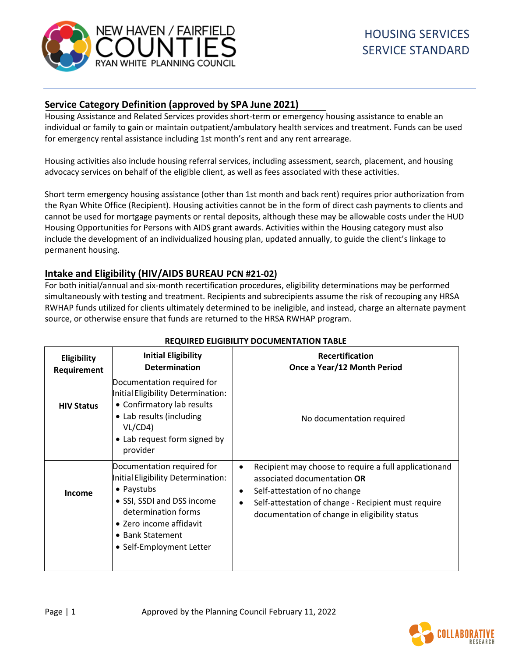

# **Service Category Definition (approved by SPA June 2021)**

Housing Assistance and Related Services provides short-term or emergency housing assistance to enable an individual or family to gain or maintain outpatient/ambulatory health services and treatment. Funds can be used for emergency rental assistance including 1st month's rent and any rent arrearage.

Housing activities also include housing referral services, including assessment, search, placement, and housing advocacy services on behalf of the eligible client, as well as fees associated with these activities.

Short term emergency housing assistance (other than 1st month and back rent) requires prior authorization from the Ryan White Office (Recipient). Housing activities cannot be in the form of direct cash payments to clients and cannot be used for mortgage payments or rental deposits, although these may be allowable costs under the HUD Housing Opportunities for Persons with AIDS grant awards. Activities within the Housing category must also include the development of an individualized housing plan, updated annually, to guide the client's linkage to permanent housing.

# **Intake and Eligibility (HIV/AIDS BUREAU PCN #21-02)**

For both initial/annual and six-month recertification procedures, eligibility determinations may be performed simultaneously with testing and treatment. Recipients and subrecipients assume the risk of recouping any HRSA RWHAP funds utilized for clients ultimately determined to be ineligible, and instead, charge an alternate payment source, or otherwise ensure that funds are returned to the HRSA RWHAP program.

| <b>Eligibility</b><br>Requirement | <b>Initial Eligibility</b><br><b>Determination</b>                                                                                                                                                             | <b>Recertification</b><br>Once a Year/12 Month Period                                                                                                                                                                                                                |
|-----------------------------------|----------------------------------------------------------------------------------------------------------------------------------------------------------------------------------------------------------------|----------------------------------------------------------------------------------------------------------------------------------------------------------------------------------------------------------------------------------------------------------------------|
| <b>HIV Status</b>                 | Documentation required for<br>Initial Eligibility Determination:<br>• Confirmatory lab results<br>• Lab results (including<br>VL/CD4)<br>• Lab request form signed by<br>provider                              | No documentation required                                                                                                                                                                                                                                            |
| Income                            | Documentation required for<br>Initial Eligibility Determination:<br>• Paystubs<br>• SSI, SSDI and DSS income<br>determination forms<br>• Zero income affidavit<br>• Bank Statement<br>• Self-Employment Letter | Recipient may choose to require a full applicationand<br>$\bullet$<br>associated documentation OR<br>Self-attestation of no change<br>$\bullet$<br>Self-attestation of change - Recipient must require<br>$\bullet$<br>documentation of change in eligibility status |

## **REQUIRED ELIGIBILITY DOCUMENTATION TABLE**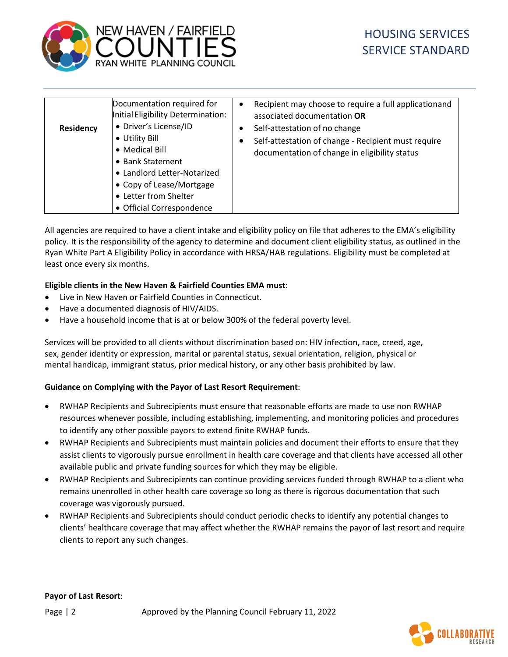

| <b>Residency</b> | Documentation required for<br>Initial Eligibility Determination:<br>• Driver's License/ID<br>• Utility Bill<br>• Medical Bill<br>• Bank Statement<br>• Landlord Letter-Notarized<br>• Copy of Lease/Mortgage<br>• Letter from Shelter<br>• Official Correspondence | ٠<br>٠<br>$\bullet$ | Recipient may choose to require a full applicationand<br>associated documentation OR<br>Self-attestation of no change<br>Self-attestation of change - Recipient must require<br>documentation of change in eligibility status |
|------------------|--------------------------------------------------------------------------------------------------------------------------------------------------------------------------------------------------------------------------------------------------------------------|---------------------|-------------------------------------------------------------------------------------------------------------------------------------------------------------------------------------------------------------------------------|
|------------------|--------------------------------------------------------------------------------------------------------------------------------------------------------------------------------------------------------------------------------------------------------------------|---------------------|-------------------------------------------------------------------------------------------------------------------------------------------------------------------------------------------------------------------------------|

All agencies are required to have a client intake and eligibility policy on file that adheres to the EMA's eligibility policy. It is the responsibility of the agency to determine and document client eligibility status, as outlined in the Ryan White Part A Eligibility Policy in accordance with HRSA/HAB regulations. Eligibility must be completed at least once every six months.

#### **Eligible clients in the New Haven & Fairfield Counties EMA must**:

- Live in New Haven or Fairfield Counties in Connecticut.
- Have a documented diagnosis of HIV/AIDS.
- Have a household income that is at or below 300% of the federal poverty level.

Services will be provided to all clients without discrimination based on: HIV infection, race, creed, age, sex, gender identity or expression, marital or parental status, sexual orientation, religion, physical or mental handicap, immigrant status, prior medical history, or any other basis prohibited by law.

#### **Guidance on Complying with the Payor of Last Resort Requirement**:

- RWHAP Recipients and Subrecipients must ensure that reasonable efforts are made to use non RWHAP resources whenever possible, including establishing, implementing, and monitoring policies and procedures to identify any other possible payors to extend finite RWHAP funds.
- RWHAP Recipients and Subrecipients must maintain policies and document their efforts to ensure that they assist clients to vigorously pursue enrollment in health care coverage and that clients have accessed all other available public and private funding sources for which they may be eligible.
- RWHAP Recipients and Subrecipients can continue providing services funded through RWHAP to a client who remains unenrolled in other health care coverage so long as there is rigorous documentation that such coverage was vigorously pursued.
- RWHAP Recipients and Subrecipients should conduct periodic checks to identify any potential changes to clients' healthcare coverage that may affect whether the RWHAP remains the payor of last resort and require clients to report any such changes.

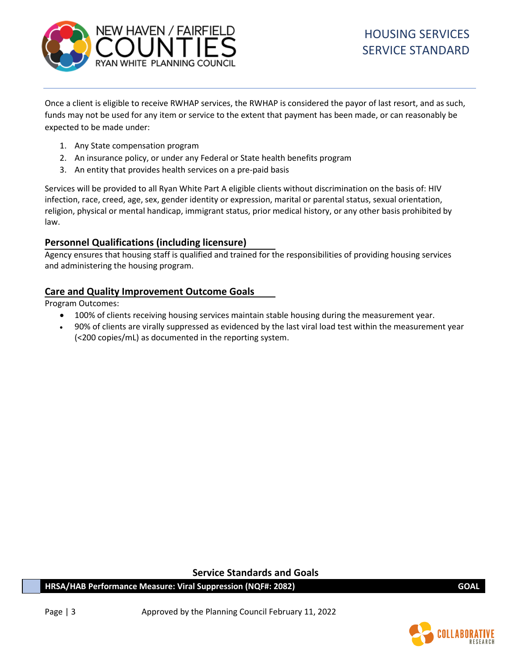

Once a client is eligible to receive RWHAP services, the RWHAP is considered the payor of last resort, and as such, funds may not be used for any item or service to the extent that payment has been made, or can reasonably be expected to be made under:

- 1. Any State compensation program
- 2. An insurance policy, or under any Federal or State health benefits program
- 3. An entity that provides health services on a pre-paid basis

Services will be provided to all Ryan White Part A eligible clients without discrimination on the basis of: HIV infection, race, creed, age, sex, gender identity or expression, marital or parental status, sexual orientation, religion, physical or mental handicap, immigrant status, prior medical history, or any other basis prohibited by law.

# **Personnel Qualifications (including licensure)**

Agency ensures that housing staff is qualified and trained for the responsibilities of providing housing services and administering the housing program.

# **Care and Quality Improvement Outcome Goals**

Program Outcomes:

- 100% of clients receiving housing services maintain stable housing during the measurement year.
- 90% of clients are virally suppressed as evidenced by the last viral load test within the measurement year (<200 copies/mL) as documented in the reporting system.

**Service Standards and Goals**

**HRSA/HAB Performance Measure: Viral Suppression (NQF#: 2082) GOAL**

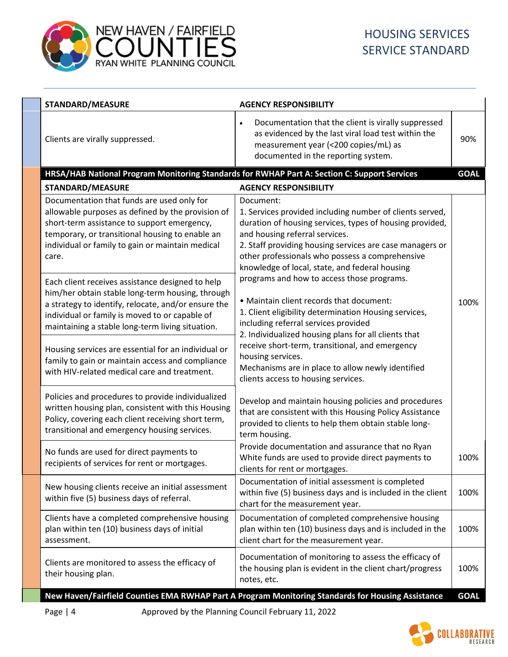

| <b>STANDARD/MEASURE</b>                                                                                                                                                                                                                                           | <b>AGENCY RESPONSIBILITY</b>                                                                                                                                                                                                                                                                                                         |             |
|-------------------------------------------------------------------------------------------------------------------------------------------------------------------------------------------------------------------------------------------------------------------|--------------------------------------------------------------------------------------------------------------------------------------------------------------------------------------------------------------------------------------------------------------------------------------------------------------------------------------|-------------|
| Clients are virally suppressed.                                                                                                                                                                                                                                   | Documentation that the client is virally suppressed<br>$\bullet$<br>as evidenced by the last viral load test within the<br>measurement year (<200 copies/mL) as<br>documented in the reporting system.                                                                                                                               | 90%         |
| HRSA/HAB National Program Monitoring Standards for RWHAP Part A: Section C: Support Services                                                                                                                                                                      |                                                                                                                                                                                                                                                                                                                                      | <b>GOAL</b> |
| <b>STANDARD/MEASURE</b>                                                                                                                                                                                                                                           | <b>AGENCY RESPONSIBILITY</b>                                                                                                                                                                                                                                                                                                         |             |
| Documentation that funds are used only for<br>allowable purposes as defined by the provision of<br>short-term assistance to support emergency,<br>temporary, or transitional housing to enable an<br>individual or family to gain or maintain medical<br>care.    | Document:<br>1. Services provided including number of clients served,<br>duration of housing services, types of housing provided,<br>and housing referral services.<br>2. Staff providing housing services are case managers or<br>other professionals who possess a comprehensive<br>knowledge of local, state, and federal housing |             |
| Each client receives assistance designed to help<br>him/her obtain stable long-term housing, through<br>a strategy to identify, relocate, and/or ensure the<br>individual or family is moved to or capable of<br>maintaining a stable long-term living situation. | programs and how to access those programs.<br>• Maintain client records that document:<br>1. Client eligibility determination Housing services,<br>including referral services provided<br>2. Individualized housing plans for all clients that                                                                                      | 100%        |
| Housing services are essential for an individual or<br>family to gain or maintain access and compliance<br>with HIV-related medical care and treatment.                                                                                                           | receive short-term, transitional, and emergency<br>housing services.<br>Mechanisms are in place to allow newly identified<br>clients access to housing services.                                                                                                                                                                     |             |
| Policies and procedures to provide individualized<br>written housing plan, consistent with this Housing<br>Policy, covering each client receiving short term,<br>transitional and emergency housing services.                                                     | Develop and maintain housing policies and procedures<br>that are consistent with this Housing Policy Assistance<br>provided to clients to help them obtain stable long-<br>term housing.                                                                                                                                             |             |
| No funds are used for direct payments to<br>recipients of services for rent or mortgages.                                                                                                                                                                         | Provide documentation and assurance that no Ryan<br>White funds are used to provide direct payments to<br>clients for rent or mortgages.                                                                                                                                                                                             | 100%        |
| New housing clients receive an initial assessment<br>within five (5) business days of referral.                                                                                                                                                                   | Documentation of initial assessment is completed<br>within five (5) business days and is included in the client<br>chart for the measurement year.                                                                                                                                                                                   | 100%        |
| Clients have a completed comprehensive housing<br>plan within ten (10) business days of initial<br>assessment.                                                                                                                                                    | Documentation of completed comprehensive housing<br>plan within ten (10) business days and is included in the<br>client chart for the measurement year.                                                                                                                                                                              | 100%        |
| Clients are monitored to assess the efficacy of<br>their housing plan.                                                                                                                                                                                            | Documentation of monitoring to assess the efficacy of<br>the housing plan is evident in the client chart/progress<br>notes, etc.                                                                                                                                                                                                     | 100%        |
|                                                                                                                                                                                                                                                                   | New Haven/Fairfield Counties EMA RWHAP Part A Program Monitoring Standards for Housing Assistance                                                                                                                                                                                                                                    | <b>GOAL</b> |